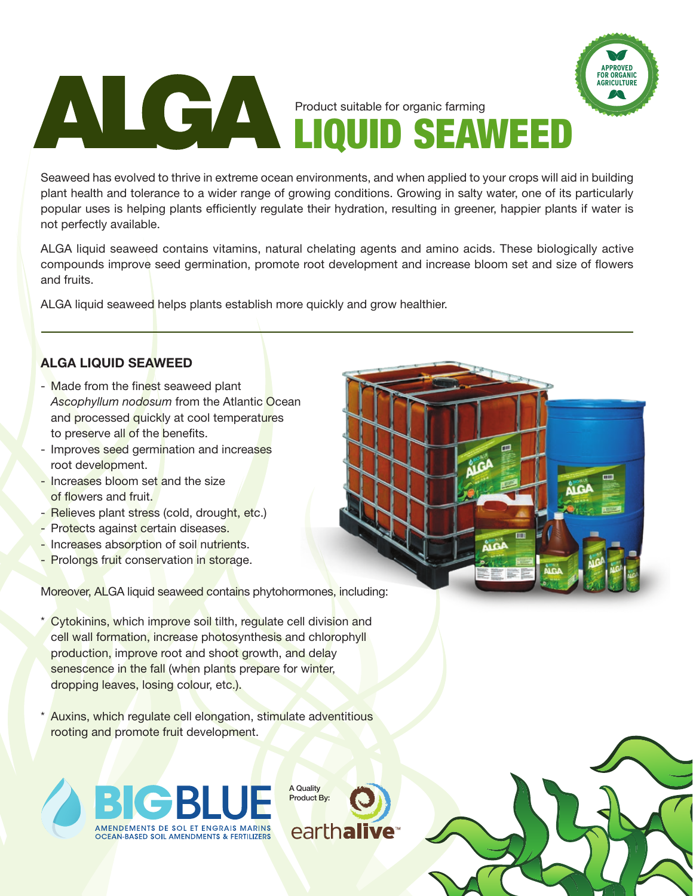ALGA

**PROVED FOR ORGANIC AGRICULTURE**

Seaweed has evolved to thrive in extreme ocean environments, and when applied to your crops will aid in building plant health and tolerance to a wider range of growing conditions. Growing in salty water, one of its particularly popular uses is helping plants efficiently regulate their hydration, resulting in greener, happier plants if water is not perfectly available.

LIQUID SEAWEED

Product suitable for organic farming

ALGA liquid seaweed contains vitamins, natural chelating agents and amino acids. These biologically active compounds improve seed germination, promote root development and increase bloom set and size of flowers and fruits.

ALGA liquid seaweed helps plants establish more quickly and grow healthier.

### **ALGA LIQUID SEAWEED**

- Made from the finest seaweed plant *Ascophyllum nodosum* from the Atlantic Ocean and processed quickly at cool temperatures to preserve all of the benefits.
- Improves seed germination and increases root development.
- Increases bloom set and the size of flowers and fruit.
- Relieves plant stress (cold, drought, etc.)
- Protects against certain diseases.
- Increases absorption of soil nutrients.
- Prolongs fruit conservation in storage.

Moreover, ALGA liquid seaweed contains phytohormones, including:

- Cytokinins, which improve soil tilth, regulate cell division and cell wall formation, increase photosynthesis and chlorophyll production, improve root and shoot growth, and delay senescence in the fall (when plants prepare for winter, dropping leaves, losing colour, etc.).
- Auxins, which regulate cell elongation, stimulate adventitious rooting and promote fruit development.